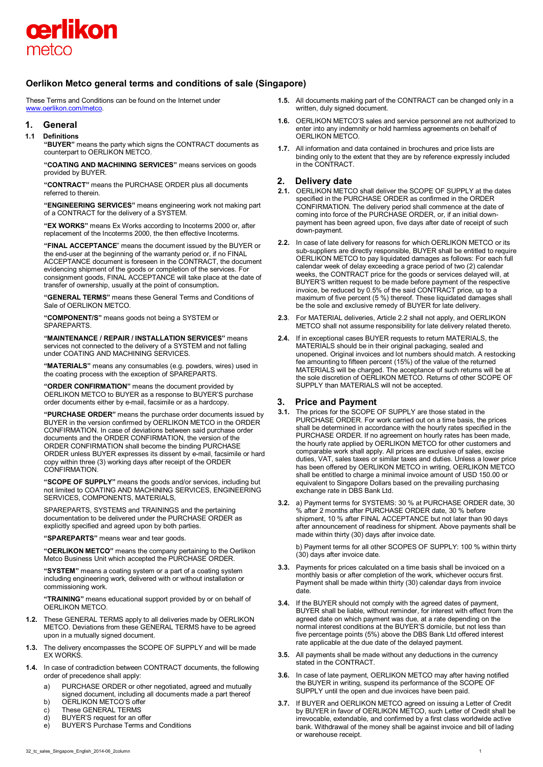

# **Oerlikon Metco general terms and conditions of sale (Singapore)**

These Terms and Conditions can be found on the Internet under www.oerlikon.com/metco.

# **1. General**

#### **1.1 Definitions**

**"BUYER"** means the party which signs the CONTRACT documents as counterpart to OERLIKON METCO.

**"COATING AND MACHINING SERVICES"** means services on goods provided by BUYER.

**"CONTRACT"** means the PURCHASE ORDER plus all documents referred to therein.

**"ENGINEERING SERVICES"** means engineering work not making part of a CONTRACT for the delivery of a SYSTEM.

**"EX WORKS"** means Ex Works according to Incoterms 2000 or, after replacement of the Incoterms 2000, the then effective Incoterms.

**"FINAL ACCEPTANCE**" means the document issued by the BUYER or the end-user at the beginning of the warranty period or, if no FINAL ACCEPTANCE document is foreseen in the CONTRACT, the document evidencing shipment of the goods or completion of the services. For consignment goods, FINAL ACCEPTANCE will take place at the date of transfer of ownership, usually at the point of consumption**.**

**"GENERAL TERMS"** means these General Terms and Conditions of Sale of OERLIKON METCO.

**"COMPONENT/S"** means goods not being a SYSTEM or SPAREPARTS.

**"MAINTENANCE / REPAIR / INSTALLATION SERVICES"** means services not connected to the delivery of a SYSTEM and not falling under COATING AND MACHINING SERVICES.

**"MATERIALS"** means any consumables (e.g. powders, wires) used in the coating process with the exception of SPAREPARTS.

**"ORDER CONFIRMATION"** means the document provided by OERLIKON METCO to BUYER as a response to BUYER'S purchase order documents either by e-mail, facsimile or as a hardcopy.

**"PURCHASE ORDER"** means the purchase order documents issued by BUYER in the version confirmed by OERLIKON METCO in the ORDER CONFIRMATION. In case of deviations between said purchase order documents and the ORDER CONFIRMATION, the version of the ORDER CONFIRMATION shall become the binding PURCHASE ORDER unless BUYER expresses its dissent by e-mail, facsimile or hard copy within three (3) working days after receipt of the ORDER CONFIRMATION.

**"SCOPE OF SUPPLY"** means the goods and/or services, including but not limited to COATING AND MACHINING SERVICES, ENGINEERING SERVICES, COMPONENTS, MATERIALS,

SPAREPARTS, SYSTEMS and TRAININGS and the pertaining documentation to be delivered under the PURCHASE ORDER as explicitly specified and agreed upon by both parties.

**"SPAREPARTS"** means wear and tear goods.

**"OERLIKON METCO"** means the company pertaining to the Oerlikon Metco Business Unit which accepted the PURCHASE ORDER.

**"SYSTEM"** means a coating system or a part of a coating system including engineering work, delivered with or without installation or commissioning work.

**"TRAINING"** means educational support provided by or on behalf of OERLIKON METCO.

- **1.2.** These GENERAL TERMS apply to all deliveries made by OERLIKON METCO. Deviations from these GENERAL TERMS have to be agreed upon in a mutually signed document.
- **1.3.** The delivery encompasses the SCOPE OF SUPPLY and will be made EX WORKS.
- **1.4.** In case of contradiction between CONTRACT documents, the following order of precedence shall apply:
	- a) PURCHASE ORDER or other negotiated, agreed and mutually signed document, including all documents made a part thereof
	- b) OERLIKON METCO'S offer<br>c) These GENERAL TERMS
	- These GENERAL TERMS
	- d) BUYER'S request for an offer<br>e) BUYER'S Purchase Terms are
	- e) BUYER'S Purchase Terms and Conditions
- **1.5.** All documents making part of the CONTRACT can be changed only in a written, duly signed document.
- **1.6.** OERLIKON METCO'S sales and service personnel are not authorized to enter into any indemnity or hold harmless agreements on behalf of OERLIKON METCO.
- **1.7.** All information and data contained in brochures and price lists are binding only to the extent that they are by reference expressly included in the CONTRACT.

# **2. Delivery date**

- **2.1.** OERLIKON METCO shall deliver the SCOPE OF SUPPLY at the dates specified in the PURCHASE ORDER as confirmed in the ORDER CONFIRMATION. The delivery period shall commence at the date of coming into force of the PURCHASE ORDER, or, if an initial downpayment has been agreed upon, five days after date of receipt of such down-payment.
- **2.2.** In case of late delivery for reasons for which OERLIKON METCO or its sub-suppliers are directly responsible, BUYER shall be entitled to require OERLIKON METCO to pay liquidated damages as follows: For each full calendar week of delay exceeding a grace period of two (2) calendar weeks, the CONTRACT price for the goods or services delayed will, at BUYER'S written request to be made before payment of the respective invoice, be reduced by 0.5% of the said CONTRACT price, up to a maximum of five percent (5 %) thereof. These liquidated damages shall be the sole and exclusive remedy of BUYER for late delivery.
- **2.3**. For MATERIAL deliveries, Article 2.2 shall not apply, and OERLIKON METCO shall not assume responsibility for late delivery related thereto.
- **2.4.** If in exceptional cases BUYER requests to return MATERIALS, the MATERIALS should be in their original packaging, sealed and unopened. Original invoices and lot numbers should match. A restocking fee amounting to fifteen percent (15%) of the value of the returned MATERIALS will be charged. The acceptance of such returns will be at the sole discretion of OERLIKON METCO. Returns of other SCOPE OF SUPPLY than MATERIALS will not be accepted.

# **3. Price and Payment**

- **3.1.** The prices for the SCOPE OF SUPPLY are those stated in the PURCHASE ORDER. For work carried out on a time basis, the prices shall be determined in accordance with the hourly rates specified in the PURCHASE ORDER. If no agreement on hourly rates has been made, the hourly rate applied by OERLIKON METCO for other customers and comparable work shall apply. All prices are exclusive of sales, excise duties, VAT, sales taxes or similar taxes and duties. Unless a lower price has been offered by OERLIKON METCO in writing, OERLIKON METCO shall be entitled to charge a minimal invoice amount of USD 150.00 or equivalent to Singapore Dollars based on the prevailing purchasing exchange rate in DBS Bank Ltd.
- **3.2.** a) Payment terms for SYSTEMS: 30 % at PURCHASE ORDER date, 30 % after 2 months after PURCHASE ORDER date, 30 % before shipment, 10 % after FINAL ACCEPTANCE but not later than 90 days after announcement of readiness for shipment. Above payments shall be made within thirty (30) days after invoice date.

b) Payment terms for all other SCOPES OF SUPPLY: 100 % within thirty (30) days after invoice date.

- **3.3.** Payments for prices calculated on a time basis shall be invoiced on a monthly basis or after completion of the work, whichever occurs first. Payment shall be made within thirty (30) calendar days from invoice date.
- **3.4.** If the BUYER should not comply with the agreed dates of payment, BUYER shall be liable, without reminder, for interest with effect from the agreed date on which payment was due, at a rate depending on the normal interest conditions at the BUYER'S domicile, but not less than five percentage points (5%) above the DBS Bank Ltd offered interest rate applicable at the due date of the delayed payment.
- **3.5.** All payments shall be made without any deductions in the currency stated in the CONTRACT.
- **3.6.** In case of late payment, OERLIKON METCO may after having notified the BUYER in writing, suspend its performance of the SCOPE OF SUPPLY until the open and due invoices have been paid.
- **3.7.** If BUYER and OERLIKON METCO agreed on issuing a Letter of Credit by BUYER in favor of OERLIKON METCO, such Letter of Credit shall be irrevocable, extendable, and confirmed by a first class worldwide active bank. Withdrawal of the money shall be against invoice and bill of lading or warehouse receipt.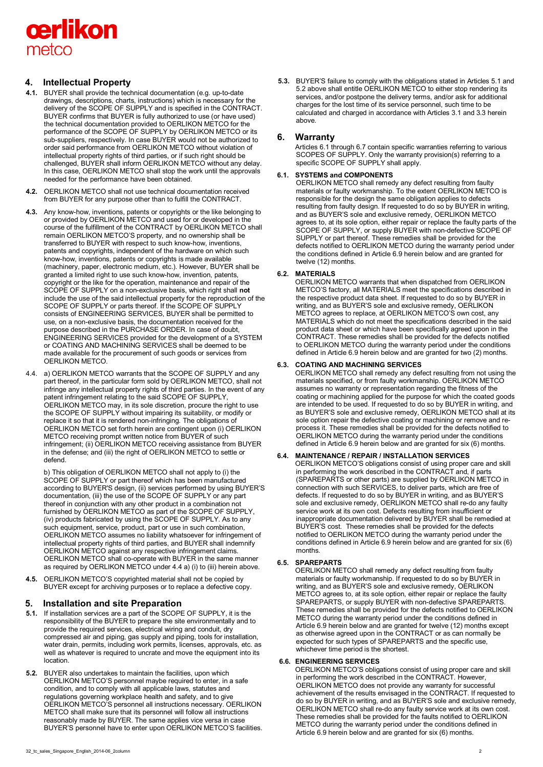

# **4. Intellectual Property**

- **4.1.** BUYER shall provide the technical documentation (e.g. up-to-date drawings, descriptions, charts, instructions) which is necessary for the delivery of the SCOPE OF SUPPLY and is specified in the CONTRACT. BUYER confirms that BUYER is fully authorized to use (or have used) the technical documentation provided to OERLIKON METCO for the performance of the SCOPE OF SUPPLY by OERLIKON METCO or its sub-suppliers, respectively. In case BUYER would not be authorized to order said performance from OERLIKON METCO without violation of intellectual property rights of third parties, or if such right should be challenged, BUYER shall inform OERLIKON METCO without any delay. In this case, OERLIKON METCO shall stop the work until the approvals needed for the performance have been obtained.
- **4.2.** OERLIKON METCO shall not use technical documentation received from BUYER for any purpose other than to fulfill the CONTRACT.
- **4.3.** Any know-how, inventions, patents or copyrights or the like belonging to or provided by OERLIKON METCO and used for or developed in the course of the fulfillment of the CONTRACT by OERLIKON METCO shall remain OERLIKON METCO'S property, and no ownership shall be transferred to BUYER with respect to such know-how, inventions, patents and copyrights, independent of the hardware on which such know-how, inventions, patents or copyrights is made available (machinery, paper, electronic medium, etc.). However, BUYER shall be granted a limited right to use such know-how, invention, patents, copyright or the like for the operation, maintenance and repair of the SCOPE OF SUPPLY on a non-exclusive basis, which right shall **not** include the use of the said intellectual property for the reproduction of the SCOPE OF SUPPLY or parts thereof. If the SCOPE OF SUPPLY consists of ENGINEERING SERVICES, BUYER shall be permitted to use, on a non-exclusive basis, the documentation received for the purpose described in the PURCHASE ORDER. In case of doubt, ENGINEERING SERVICES provided for the development of a SYSTEM or COATING AND MACHINING SERVICES shall be deemed to be made available for the procurement of such goods or services from OERLIKON METCO.
- 4.4. a) OERLIKON METCO warrants that the SCOPE OF SUPPLY and any part thereof, in the particular form sold by OERLIKON METCO, shall not infringe any intellectual property rights of third parties. In the event of any patent infringement relating to the said SCOPE OF SUPPLY, OERLIKON METCO may, in its sole discretion, procure the right to use the SCOPE OF SUPPLY without impairing its suitability, or modify or replace it so that it is rendered non-infringing. The obligations of OERLIKON METCO set forth herein are contingent upon (i) OERLIKON METCO receiving prompt written notice from BUYER of such infringement; (ii) OERLIKON METCO receiving assistance from BUYER in the defense; and (iii) the right of OERLIKON METCO to settle or defend.

b) This obligation of OERLIKON METCO shall not apply to (i) the SCOPE OF SUPPLY or part thereof which has been manufactured according to BUYER'S design, (ii) services performed by using BUYER'S documentation, (iii) the use of the SCOPE OF SUPPLY or any part thereof in conjunction with any other product in a combination not furnished by OERLIKON METCO as part of the SCOPE OF SUPPLY, (iv) products fabricated by using the SCOPE OF SUPPLY. As to any such equipment, service, product, part or use in such combination, OERLIKON METCO assumes no liability whatsoever for infringement of intellectual property rights of third parties, and BUYER shall indemnify OERLIKON METCO against any respective infringement claims. OERLIKON METCO shall co-operate with BUYER in the same manner as required by OERLIKON METCO under 4.4 a) (i) to (iii) herein above.

**4.5.** OERLIKON METCO'S copyrighted material shall not be copied by BUYER except for archiving purposes or to replace a defective copy.

# **5. Installation and site Preparation**

- **5.1.** If installation services are a part of the SCOPE OF SUPPLY, it is the responsibility of the BUYER to prepare the site environmentally and to provide the required services, electrical wiring and conduit, dry compressed air and piping, gas supply and piping, tools for installation, water drain, permits, including work permits, licenses, approvals, etc. as well as whatever is required to uncrate and move the equipment into its location.
- **5.2.** BUYER also undertakes to maintain the facilities, upon which OERLIKON METCO'S personnel maybe required to enter, in a safe condition, and to comply with all applicable laws, statutes and regulations governing workplace health and safety, and to give OERLIKON METCO'S personnel all instructions necessary. OERLIKON METCO shall make sure that its personnel will follow all instructions reasonably made by BUYER. The same applies vice versa in case BUYER'S personnel have to enter upon OERLIKON METCO'S facilities.

**5.3.** BUYER'S failure to comply with the obligations stated in Articles 5.1 and 5.2 above shall entitle OERLIKON METCO to either stop rendering its services, and/or postpone the delivery terms, and/or ask for additional charges for the lost time of its service personnel, such time to be calculated and charged in accordance with Articles 3.1 and 3.3 herein above.

# **6. Warranty**

Articles 6.1 through 6.7 contain specific warranties referring to various SCOPES OF SUPPLY. Only the warranty provision(s) referring to a specific SCOPE OF SUPPLY shall apply.

## **6.1. SYSTEMS and COMPONENTS**

OERLIKON METCO shall remedy any defect resulting from faulty materials or faulty workmanship. To the extent OERLIKON METCO is responsible for the design the same obligation applies to defects resulting from faulty design. If requested to do so by BUYER in writing, and as BUYER'S sole and exclusive remedy, OERLIKON METCO agrees to, at its sole option, either repair or replace the faulty parts of the SCOPE OF SUPPLY, or supply BUYER with non-defective SCOPE OF SUPPLY or part thereof. These remedies shall be provided for the defects notified to OERLIKON METCO during the warranty period under the conditions defined in Article 6.9 herein below and are granted for twelve (12) months.

# **6.2. MATERIALS**

OERLIKON METCO warrants that when dispatched from OERLIKON METCO'S factory, all MATERIALS meet the specifications described in the respective product data sheet. If requested to do so by BUYER in writing, and as BUYER'S sole and exclusive remedy, OERLIKON METCO agrees to replace, at OERLIKON METCO'S own cost, any MATERIALS which do not meet the specifications described in the said product data sheet or which have been specifically agreed upon in the CONTRACT. These remedies shall be provided for the defects notified to OERLIKON METCO during the warranty period under the conditions defined in Article 6.9 herein below and are granted for two (2) months.

## **6.3. COATING AND MACHINING SERVICES**

OERLIKON METCO shall remedy any defect resulting from not using the materials specified, or from faulty workmanship. OERLIKON METCO assumes no warranty or representation regarding the fitness of the coating or machining applied for the purpose for which the coated goods are intended to be used. If requested to do so by BUYER in writing, and as BUYER'S sole and exclusive remedy, OERLIKON METCO shall at its sole option repair the defective coating or machining or remove and reprocess it. These remedies shall be provided for the defects notified to OERLIKON METCO during the warranty period under the conditions defined in Article 6.9 herein below and are granted for six (6) months.

# **6.4. MAINTENANCE / REPAIR / INSTALLATION SERVICES**

OERLIKON METCO'S obligations consist of using proper care and skill in performing the work described in the CONTRACT and, if parts (SPAREPARTS or other parts) are supplied by OERLIKON METCO in connection with such SERVICES, to deliver parts, which are free of defects. If requested to do so by BUYER in writing, and as BUYER'S sole and exclusive remedy, OERLIKON METCO shall re-do any faulty service work at its own cost. Defects resulting from insufficient or inappropriate documentation delivered by BUYER shall be remedied at BUYER'S cost. These remedies shall be provided for the defects notified to OERLIKON METCO during the warranty period under the conditions defined in Article 6.9 herein below and are granted for six (6) months.

# **6.5. SPAREPARTS**

OERLIKON METCO shall remedy any defect resulting from faulty materials or faulty workmanship. If requested to do so by BUYER in writing, and as BUYER'S sole and exclusive remedy, OERLIKON METCO agrees to, at its sole option, either repair or replace the faulty SPAREPARTS, or supply BUYER with non-defective SPAREPARTS. These remedies shall be provided for the defects notified to OERLIKON METCO during the warranty period under the conditions defined in Article 6.9 herein below and are granted for twelve (12) months except as otherwise agreed upon in the CONTRACT or as can normally be expected for such types of SPAREPARTS and the specific use, whichever time period is the shortest.

## **6.6. ENGINEERING SERVICES**

OERLIKON METCO'S obligations consist of using proper care and skill in performing the work described in the CONTRACT. However, OERLIKON METCO does not provide any warranty for successful achievement of the results envisaged in the CONTRACT. If requested to do so by BUYER in writing, and as BUYER'S sole and exclusive remedy, OERLIKON METCO shall re-do any faulty service work at its own cost. These remedies shall be provided for the faults notified to OERLIKON METCO during the warranty period under the conditions defined in Article 6.9 herein below and are granted for six (6) months.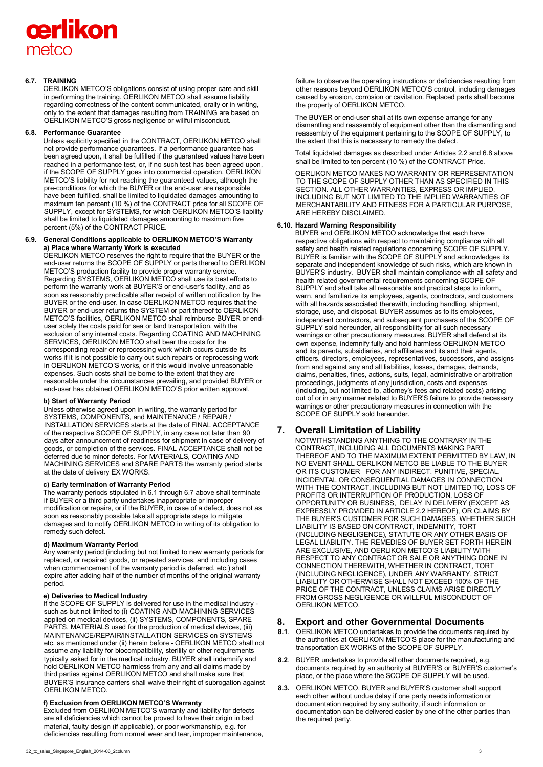# cerlikon metco

# **6.7. TRAINING**

OERLIKON METCO'S obligations consist of using proper care and skill in performing the training. OERLIKON METCO shall assume liability regarding correctness of the content communicated, orally or in writing, only to the extent that damages resulting from TRAINING are based on OERLIKON METCO'S gross negligence or willful misconduct.

## **6.8. Performance Guarantee**

Unless explicitly specified in the CONTRACT, OERLIKON METCO shall not provide performance guarantees. If a performance guarantee has been agreed upon, it shall be fulfilled if the guaranteed values have been reached in a performance test, or, if no such test has been agreed upon, if the SCOPE OF SUPPLY goes into commercial operation. OERLIKON METCO'S liability for not reaching the guaranteed values, although the pre-conditions for which the BUYER or the end-user are responsible have been fulfilled, shall be limited to liquidated damages amounting to maximum ten percent (10 %) of the CONTRACT price for all SCOPE OF SUPPLY, except for SYSTEMS, for which OERLIKON METCO'S liability shall be limited to liquidated damages amounting to maximum five percent (5%) of the CONTRACT PRICE.

#### **6.9. General Conditions applicable to OERLIKON METCO'S Warranty a) Place where Warranty Work is executed**

OERLIKON METCO reserves the right to require that the BUYER or the end-user returns the SCOPE OF SUPPLY or parts thereof to OERLIKON METCO'S production facility to provide proper warranty service. Regarding SYSTEMS, OERLIKON METCO shall use its best efforts to perform the warranty work at BUYER'S or end-user's facility, and as soon as reasonably practicable after receipt of written notification by the BUYER or the end-user. In case OERLIKON METCO requires that the BUYER or end-user returns the SYSTEM or part thereof to OERLIKON METCO'S facilities, OERLIKON METCO shall reimburse BUYER or enduser solely the costs paid for sea or land transportation, with the exclusion of any internal costs. Regarding COATING AND MACHINING SERVICES, OERLIKON METCO shall bear the costs for the corresponding repair or reprocessing work which occurs outside its works if it is not possible to carry out such repairs or reprocessing work in OERLIKON METCO'S works, or if this would involve unreasonable expenses. Such costs shall be borne to the extent that they are reasonable under the circumstances prevailing, and provided BUYER or end-user has obtained OERLIKON METCO'S prior written approval.

#### **b) Start of Warranty Period**

Unless otherwise agreed upon in writing, the warranty period for SYSTEMS, COMPONENTS, and MAINTENANCE / REPAIR / INSTALLATION SERVICES starts at the date of FINAL ACCEPTANCE of the respective SCOPE OF SUPPLY, in any case not later than 90 days after announcement of readiness for shipment in case of delivery of goods, or completion of the services. FINAL ACCEPTANCE shall not be deferred due to minor defects. For MATERIALS, COATING AND MACHINING SERVICES and SPARE PARTS the warranty period starts at the date of delivery EX WORKS.

# **c) Early termination of Warranty Period**

The warranty periods stipulated in 6.1 through 6.7 above shall terminate if BUYER or a third party undertakes inappropriate or improper modification or repairs, or if the BUYER, in case of a defect, does not as soon as reasonably possible take all appropriate steps to mitigate damages and to notify OERLIKON METCO in writing of its obligation to remedy such defect.

#### **d) Maximum Warranty Period**

Any warranty period (including but not limited to new warranty periods for replaced, or repaired goods, or repeated services, and including cases when commencement of the warranty period is deferred, etc.) shall expire after adding half of the number of months of the original warranty period.

#### **e) Deliveries to Medical Industry**

If the SCOPE OF SUPPLY is delivered for use in the medical industry such as but not limited to (i) COATING AND MACHINING SERVICES applied on medical devices, (ii) SYSTEMS, COMPONENTS, SPARE PARTS, MATERIALS used for the production of medical devices, (iii) MAINTENANCE/REPAIR/INSTALLATION SERVICES on SYSTEMS etc. as mentioned under (ii) herein before - OERLIKON METCO shall not assume any liability for biocompatibility, sterility or other requirements typically asked for in the medical industry. BUYER shall indemnify and hold OERLIKON METCO harmless from any and all claims made by third parties against OERLIKON METCO and shall make sure that BUYER'S insurance carriers shall waive their right of subrogation against OERLIKON METCO.

## **f) Exclusion from OERLIKON METCO'S Warranty**

Excluded from OERLIKON METCO'S warranty and liability for defects are all deficiencies which cannot be proved to have their origin in bad material, faulty design (if applicable), or poor workmanship, e.g. for deficiencies resulting from normal wear and tear, improper maintenance, failure to observe the operating instructions or deficiencies resulting from other reasons beyond OERLIKON METCO'S control, including damages caused by erosion, corrosion or cavitation. Replaced parts shall become the property of OERLIKON METCO.

The BUYER or end-user shall at its own expense arrange for any dismantling and reassembly of equipment other than the dismantling and reassembly of the equipment pertaining to the SCOPE OF SUPPLY, to the extent that this is necessary to remedy the defect.

Total liquidated damages as described under Articles 2.2 and 6.8 above shall be limited to ten percent (10 %) of the CONTRACT Price.

OERLIKON METCO MAKES NO WARRANTY OR REPRESENTATION TO THE SCOPE OF SUPPLY OTHER THAN AS SPECIFIED IN THIS SECTION. ALL OTHER WARRANTIES, EXPRESS OR IMPLIED INCLUDING BUT NOT LIMITED TO THE IMPLIED WARRANTIES OF MERCHANTABILITY AND FITNESS FOR A PARTICULAR PURPOSE, ARE HEREBY DISCLAIMED.

## **6.10. Hazard Warning Responsibility**

BUYER and OERLIKON METCO acknowledge that each have respective obligations with respect to maintaining compliance with all safety and health related regulations concerning SCOPE OF SUPPLY. BUYER is familiar with the SCOPE OF SUPPLY and acknowledges its separate and independent knowledge of such risks, which are known in BUYER'S industry. BUYER shall maintain compliance with all safety and health related governmental requirements concerning SCOPE OF SUPPLY and shall take all reasonable and practical steps to inform, warn, and familiarize its employees, agents, contractors, and customers with all hazards associated therewith, including handling, shipment, storage, use, and disposal. BUYER assumes as to its employees, independent contractors, and subsequent purchasers of the SCOPE OF SUPPLY sold hereunder, all responsibility for all such necessary warnings or other precautionary measures. BUYER shall defend at its own expense, indemnify fully and hold harmless OERLIKON METCO and its parents, subsidiaries, and affiliates and its and their agents, officers, directors, employees, representatives, successors, and assigns from and against any and all liabilities, losses, damages, demands, claims, penalties, fines, actions, suits, legal, administrative or arbitration proceedings, judgments of any jurisdiction, costs and expenses (including, but not limited to, attorney's fees and related costs) arising out of or in any manner related to BUYER'S failure to provide necessary warnings or other precautionary measures in connection with the SCOPE OF SUPPLY sold hereunder.

# **7. Overall Limitation of Liability**

NOTWITHSTANDING ANYTHING TO THE CONTRARY IN THE CONTRACT, INCLUDING ALL DOCUMENTS MAKING PART THEREOF AND TO THE MAXIMUM EXTENT PERMITTED BY LAW, IN NO EVENT SHALL OERLIKON METCO BE LIABLE TO THE BUYER OR ITS CUSTOMER FOR ANY INDIRECT, PUNITIVE, SPECIAL, INCIDENTAL OR CONSEQUENTIAL DAMAGES IN CONNECTION WITH THE CONTRACT, INCLUDING BUT NOT LIMITED TO, LOSS OF PROFITS OR INTERRUPTION OF PRODUCTION, LOSS OF OPPORTUNITY OR BUSINESS, DELAY IN DELIVERY (EXCEPT AS EXPRESSLY PROVIDED IN ARTICLE 2.2 HEREOF), OR CLAIMS BY THE BUYER'S CUSTOMER FOR SUCH DAMAGES, WHETHER SUCH LIABILITY IS BASED ON CONTRACT, INDEMNITY, TORT (INCLUDING NEGLIGENCE), STATUTE OR ANY OTHER BASIS OF LEGAL LIABILITY. THE REMEDIES OF BUYER SET FORTH HEREIN ARE EXCLUSIVE, AND OERLIKON METCO'S LIABILITY WITH RESPECT TO ANY CONTRACT OR SALE OR ANYTHING DONE IN CONNECTION THEREWITH, WHETHER IN CONTRACT, TORT (INCLUDING NEGLIGENCE), UNDER ANY WARRANTY, STRICT LIABILITY OR OTHERWISE SHALL NOT EXCEED 100% OF THE PRICE OF THE CONTRACT, UNLESS CLAIMS ARISE DIRECTLY FROM GROSS NEGLIGENCE OR WILLFUL MISCONDUCT OF OERLIKON METCO.

# **8. Export and other Governmental Documents**

- **8.1**. OERLIKON METCO undertakes to provide the documents required by the authorities at OERLIKON METCO'S place for the manufacturing and transportation EX WORKS of the SCOPE OF SUPPLY.
- **8.2**. BUYER undertakes to provide all other documents required, e.g. documents required by an authority at BUYER'S or BUYER'S customer's place, or the place where the SCOPE OF SUPPLY will be used.
- **8.3.** OERLIKON METCO, BUYER and BUYER'S customer shall support each other without undue delay if one party needs information or documentation required by any authority, if such information or documentation can be delivered easier by one of the other parties than the required party.